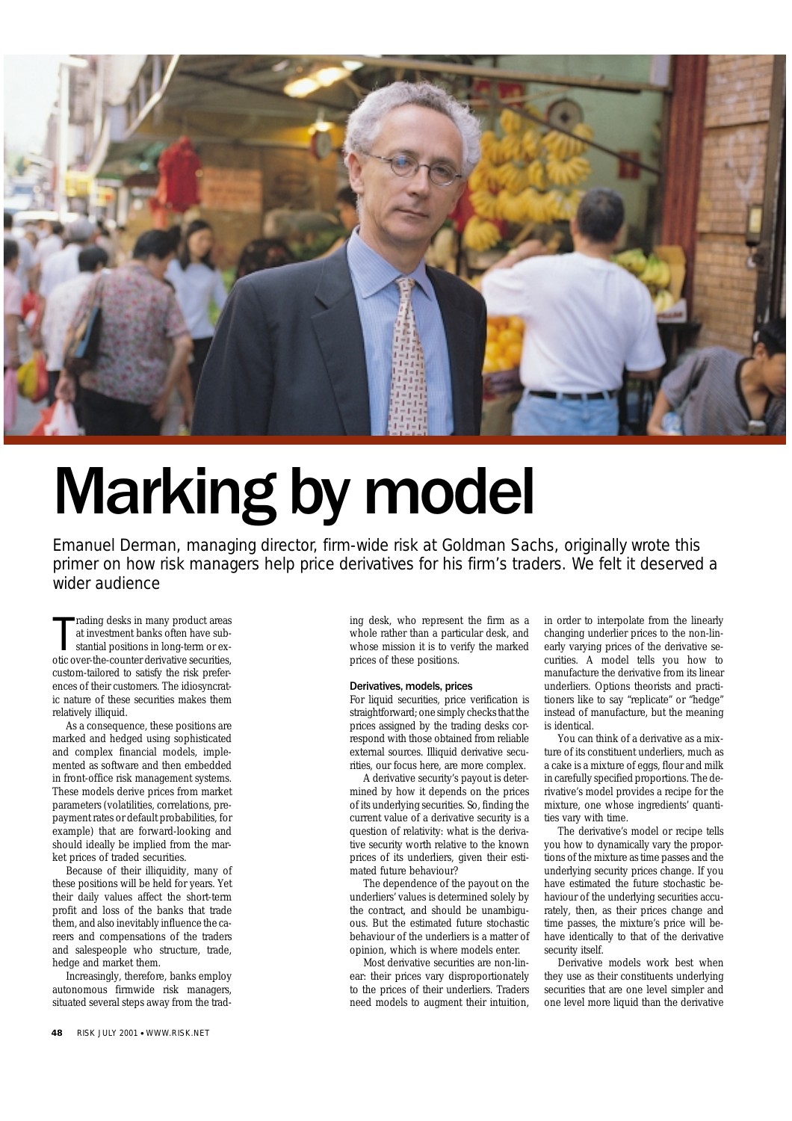

# Marking by model

Emanuel Derman, managing director, firm-wide risk at Goldman Sachs, originally wrote this primer on how risk managers help price derivatives for his firm's traders. We felt it deserved a wider audience

rading desks in many product areas<br>at investment banks often have sub-<br>stantial positions in long-term or ex-<br>otic over-the-counter derivative securities, rading desks in many product areas at investment banks often have substantial positions in long-term or excustom-tailored to satisfy the risk preferences of their customers. The idiosyncratic nature of these securities makes them relatively illiquid.

As a consequence, these positions are marked and hedged using sophisticated and complex financial models, implemented as software and then embedded in front-office risk management systems. These models derive prices from market parameters (volatilities, correlations, prepayment rates or default probabilities, for example) that are forward-looking and should ideally be implied from the market prices of traded securities.

Because of their illiquidity, many of these positions will be held for years. Yet their daily values affect the short-term profit and loss of the banks that trade them, and also inevitably influence the careers and compensations of the traders and salespeople who structure, trade, hedge and market them.

Increasingly, therefore, banks employ autonomous firmwide risk managers, situated several steps away from the trad-

ing desk, who represent the firm as a whole rather than a particular desk, and whose mission it is to verify the marked prices of these positions.

# Derivatives, models, prices

For liquid securities, price verification is straightforward; one simply checks that the prices assigned by the trading desks correspond with those obtained from reliable external sources. Illiquid derivative securities, our focus here, are more complex.

A derivative security's payout is determined by how it depends on the prices of its underlying securities. So, finding the current value of a derivative security is a question of relativity: what is the derivative security worth relative to the known prices of its underliers, given their estimated future behaviour?

The dependence of the payout on the underliers' values is determined solely by the contract, and should be unambiguous. But the estimated future stochastic behaviour of the underliers is a matter of opinion, which is where models enter.

Most derivative securities are non-linear: their prices vary disproportionately to the prices of their underliers. Traders need models to augment their intuition, in order to interpolate from the linearly changing underlier prices to the non-linearly varying prices of the derivative securities. A model tells you how to manufacture the derivative from its linear underliers. Options theorists and practitioners like to say "replicate" or "hedge" instead of manufacture, but the meaning is identical.

You can think of a derivative as a mixture of its constituent underliers, much as a cake is a mixture of eggs, flour and milk in carefully specified proportions. The derivative's model provides a recipe for the mixture, one whose ingredients' quantities vary with time.

The derivative's model or recipe tells you how to dynamically vary the proportions of the mixture as time passes and the underlying security prices change. If you have estimated the future stochastic behaviour of the underlying securities accurately, then, as their prices change and time passes, the mixture's price will behave identically to that of the derivative security itself.

Derivative models work best when they use as their constituents underlying securities that are one level simpler and one level more liquid than the derivative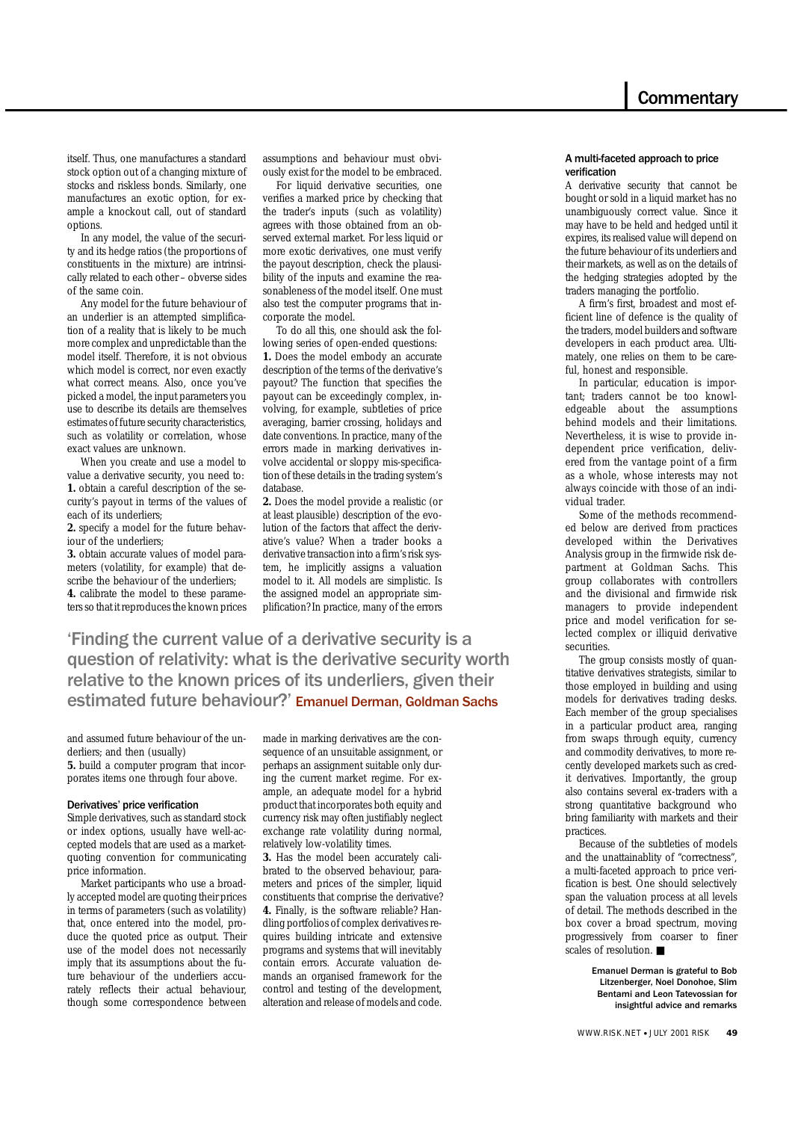itself. Thus, one manufactures a standard stock option out of a changing mixture of stocks and riskless bonds. Similarly, one manufactures an exotic option, for example a knockout call, out of standard options.

In any model, the value of the security and its hedge ratios (the proportions of constituents in the mixture) are intrinsically related to each other – obverse sides of the same coin.

Any model for the future behaviour of an underlier is an attempted simplification of a reality that is likely to be much more complex and unpredictable than the model itself. Therefore, it is not obvious which model is correct, nor even exactly what correct means. Also, once you've picked a model, the input parameters you use to describe its details are themselves estimates of future security characteristics, such as volatility or correlation, whose exact values are unknown.

When you create and use a model to value a derivative security, you need to: **1.** obtain a careful description of the security's payout in terms of the values of each of its underliers;

**2.** specify a model for the future behaviour of the underliers;

**3.** obtain accurate values of model parameters (volatility, for example) that describe the behaviour of the underliers; **4.** calibrate the model to these parameters so that it reproduces the known prices assumptions and behaviour must obviously exist for the model to be embraced.

For liquid derivative securities, one verifies a marked price by checking that the trader's inputs (such as volatility) agrees with those obtained from an observed external market. For less liquid or more exotic derivatives, one must verify the payout description, check the plausibility of the inputs and examine the reasonableness of the model itself. One must also test the computer programs that incorporate the model.

To do all this, one should ask the following series of open-ended questions: **1.** Does the model embody an accurate description of the terms of the derivative's payout? The function that specifies the payout can be exceedingly complex, involving, for example, subtleties of price averaging, barrier crossing, holidays and date conventions. In practice, many of the errors made in marking derivatives involve accidental or sloppy mis-specification of these details in the trading system's database.

**2.** Does the model provide a realistic (or at least plausible) description of the evolution of the factors that affect the derivative's value? When a trader books a derivative transaction into a firm's risk system, he implicitly assigns a valuation model to it. All models are simplistic. Is the assigned model an appropriate simplification? In practice, many of the errors

'Finding the current value of a derivative security is a question of relativity: what is the derivative security worth relative to the known prices of its underliers, given their estimated future behaviour?' Emanuel Derman, Goldman Sachs

and assumed future behaviour of the underliers; and then (usually)

**5.** build a computer program that incorporates items one through four above.

# Derivatives' price verification

Simple derivatives, such as standard stock or index options, usually have well-accepted models that are used as a marketquoting convention for communicating price information.

Market participants who use a broadly accepted model are quoting their prices in terms of parameters (such as volatility) that, once entered into the model, produce the quoted price as output. Their use of the model does not necessarily imply that its assumptions about the future behaviour of the underliers accurately reflects their actual behaviour, though some correspondence between made in marking derivatives are the consequence of an unsuitable assignment, or perhaps an assignment suitable only during the current market regime. For example, an adequate model for a hybrid product that incorporates both equity and currency risk may often justifiably neglect exchange rate volatility during normal, relatively low-volatility times.

**3.** Has the model been accurately calibrated to the observed behaviour, parameters and prices of the simpler, liquid constituents that comprise the derivative? **4.** Finally, is the software reliable? Handling portfolios of complex derivatives requires building intricate and extensive programs and systems that will inevitably contain errors. Accurate valuation demands an organised framework for the control and testing of the development, alteration and release of models and code.

# A multi-faceted approach to price verification

A derivative security that cannot be bought or sold in a liquid market has no unambiguously correct value. Since it may have to be held and hedged until it expires, its realised value will depend on the future behaviour of its underliers and their markets, as well as on the details of the hedging strategies adopted by the traders managing the portfolio.

A firm's first, broadest and most efficient line of defence is the quality of the traders, model builders and software developers in each product area. Ultimately, one relies on them to be careful, honest and responsible.

In particular, education is important; traders cannot be too knowledgeable about the assumptions behind models and their limitations. Nevertheless, it is wise to provide independent price verification, delivered from the vantage point of a firm as a whole, whose interests may not always coincide with those of an individual trader.

Some of the methods recommended below are derived from practices developed within the Derivatives Analysis group in the firmwide risk department at Goldman Sachs. This group collaborates with controllers and the divisional and firmwide risk managers to provide independent price and model verification for selected complex or illiquid derivative securities.

The group consists mostly of quantitative derivatives strategists, similar to those employed in building and using models for derivatives trading desks. Each member of the group specialises in a particular product area, ranging from swaps through equity, currency and commodity derivatives, to more recently developed markets such as credit derivatives. Importantly, the group also contains several ex-traders with a strong quantitative background who bring familiarity with markets and their practices.

Because of the subtleties of models and the unattainablity of "correctness", a multi-faceted approach to price verification is best. One should selectively span the valuation process at all levels of detail. The methods described in the box cover a broad spectrum, moving progressively from coarser to finer scales of resolution. ■

> Emanuel Derman is grateful to Bob Litzenberger, Noel Donohoe, Slim Bentami and Leon Tatevossian for insightful advice and remarks